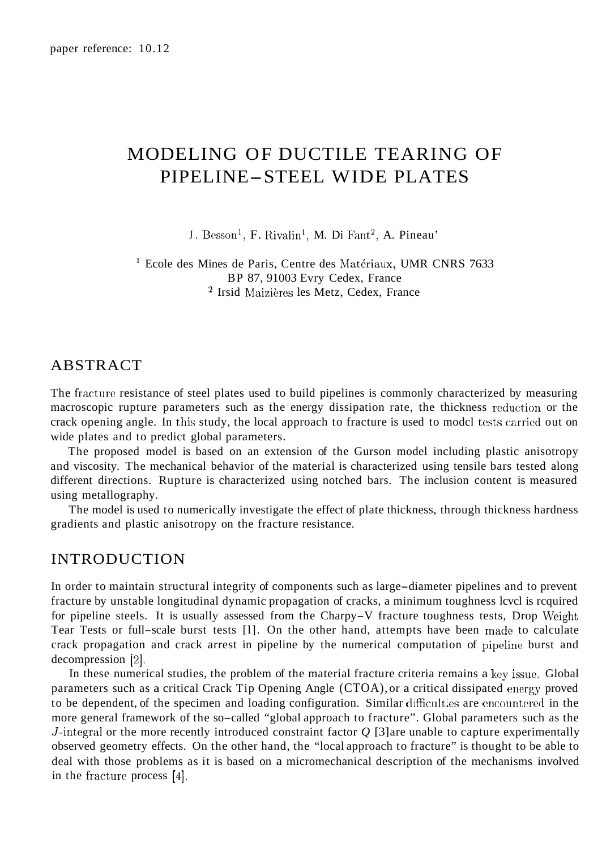# MODELING OF DUCTILE TEARING OF PIPELINE-STEEL WIDE PLATES

J. Besson<sup>1</sup>, F. Rivalin<sup>1</sup>, M. Di Fant<sup>2</sup>, A. Pineau'

<sup>1</sup> Ecole des Mines de Paris, Centre des Matériaux, UMR CNRS 7633 <sup>2</sup> Irsid Maizières les Metz, Cedex, France BP 87, 91003 Evry Cedex, France

#### ABSTRACT

The fracture resistance of steel plates used to build pipelines is commonly characterized by measuring macroscopic rupture parameters such as the energy dissipation rate, the thickness reduction or the crack opening angle. In this study, the local approach to fracture is used to model tests carried out on wide plates and to predict global parameters.

The proposed model is based on an extension of the Gurson model including plastic anisotropy and viscosity. The mechanical behavior of the material is characterized using tensile bars tested along different directions. Rupture is characterized using notched bars. The inclusion content is measured using metallography.

The model is used to numerically investigate the effect of plate thickness, through thickness hardness gradients and plastic anisotropy on the fracture resistance.

# INTRODUCTION

In order to maintain structural integrity of components such as large-diameter pipelines and to prevent fracture by unstable longitudinal dynamic propagation of cracks, a minimum toughness lcvcl is rcquired for pipeline steels. It is usually assessed from the Charpy-V fracture toughness tests, Drop Weight Tear Tests or full-scale burst tests [l]. On the other hand, attempts have been made to calculate crack propagation and crack arrest in pipeline by the numerical computation of pipcline burst and decompression [2].

In these numerical studies, the problem of the material fracture criteria remains a key issue. Global parameters such as a critical Crack Tip Opening Angle (CTOA), or a critical dissipated energy proved to be dependent, of the specimen and loading configuration. Similar difficulties are cncountered in the more general framework of the so-called "global approach to fracture". Global parameters such as the J-integral or the more recently introduced constraint factor *Q* [3] are unable to capture experimentally observed geometry effects. On the other hand, the "local approach to fracture" is thought to be able to deal with those problems as it is based on a micromechanical description of the mechanisms involved in the fracture process [4].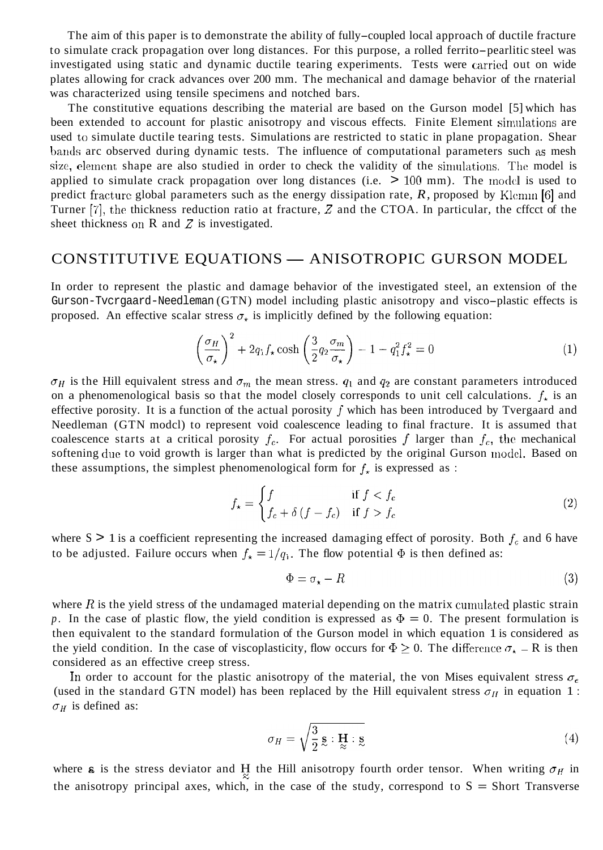The aim of this paper is to demonstrate the ability of fully-coupled local approach of ductile fracture to simulate crack propagation over long distances. For this purpose, a rolled ferrito-pearlitic steel was investigated using static and dynamic ductile tearing experiments. Tests were carried out on wide plates allowing for crack advances over 200 mm. The mechanical and damage behavior of the rnaterial was characterized using tensile specimens and notched bars.

The constitutive equations describing the material are based on the Gurson model [5] which has been extended to account for plastic anisotropy and viscous effects. Finite Element simulations are used to simulate ductile tearing tests. Simulations are restricted to static in plane propagation. Shear bands arc observed during dynamic tests. The influence of computational parameters such as mesh size, element shape are also studied in order to check the validity of the simulations. The model is applied to simulate crack propagation over long distances (i.e.  $> 100$  mm). The model is used to predict fracture global parameters such as the energy dissipation rate, *R*, proposed by Klemm [6] and Turner [7], the thickness reduction ratio at fracture, *2* and the CTOA. In particular, the cffcct of the sheet thickness on  $R$  and  $Z$  is investigated.

#### CONSTITUTIVE EQUATIONS — ANISOTROPIC GURSON MODEL

In order to represent the plastic and damage behavior of the investigated steel, an extension of the Gurson-Tvcrgaard-Needleman (GTN) model including plastic anisotropy and visco-plastic effects is proposed. An effective scalar stress  $\sigma_{\star}$  is implicitly defined by the following equation:

$$
\left(\frac{\sigma_H}{\sigma_\star}\right)^2 + 2q_1 f_\star \cosh\left(\frac{3}{2} q_2 \frac{\sigma_m}{\sigma_\star}\right) - 1 - q_1^2 f_\star^2 = 0\tag{1}
$$

 $\sigma_H$  is the Hill equivalent stress and  $\sigma_m$  the mean stress.  $q_1$  and  $q_2$  are constant parameters introduced on a phenomenological basis so that the model closely corresponds to unit cell calculations.  $f_{\star}$  is an effective porosity. It is a function of the actual porosity *f* which has been introduced by Tvergaard and Needleman (GTN modcl) to represent void coalescence leading to final fracture. It is assumed that coalescence starts at a critical porosity  $f_c$ . For actual porosities  $f$  larger than  $f_c$ , the mechanical softening due to void growth is larger than what is predicted by the original Gurson model. Based on these assumptions, the simplest phenomenological form for  $f_{\star}$  is expressed as :

$$
f_{\star} = \begin{cases} f & \text{if } f < f_c \\ f_c + \delta \left( f - f_c \right) & \text{if } f > f_c \end{cases} \tag{2}
$$

where  $S > 1$  is a coefficient representing the increased damaging effect of porosity. Both  $f_c$  and 6 have to be adjusted. Failure occurs when  $f_{\star} = 1/q_1$ . The flow potential  $\Phi$  is then defined as:

$$
\Phi = \sigma_{\star} - R \tag{3}
$$

where  $R$  is the yield stress of the undamaged material depending on the matrix cumulated plastic strain p. In the case of plastic flow, the yield condition is expressed as  $\Phi = 0$ . The present formulation is then equivalent to the standard formulation of the Gurson model in which equation 1 is considered as the yield condition. In the case of viscoplasticity, flow occurs for  $\Phi \geq 0$ . The difference  $\sigma_{\star}$  – R is then considered as an effective creep stress.

In order to account for the plastic anisotropy of the material, the von Mises equivalent stress  $\sigma_e$ (used in the standard GTN model) has been replaced by the Hill equivalent stress  $\sigma_{II}$  in equation 1 :  $\sigma_H$  is defined as:

$$
\sigma_H = \sqrt{\frac{3}{2}} \,\mathbf{S} : \mathbf{H} : \mathbf{S} \tag{4}
$$

where **s** is the stress deviator and H the Hill anisotropy fourth order tensor. When writing  $\sigma_H$  in the anisotropy principal axes, which, in the case of the study, correspond to  $S =$  Short Transverse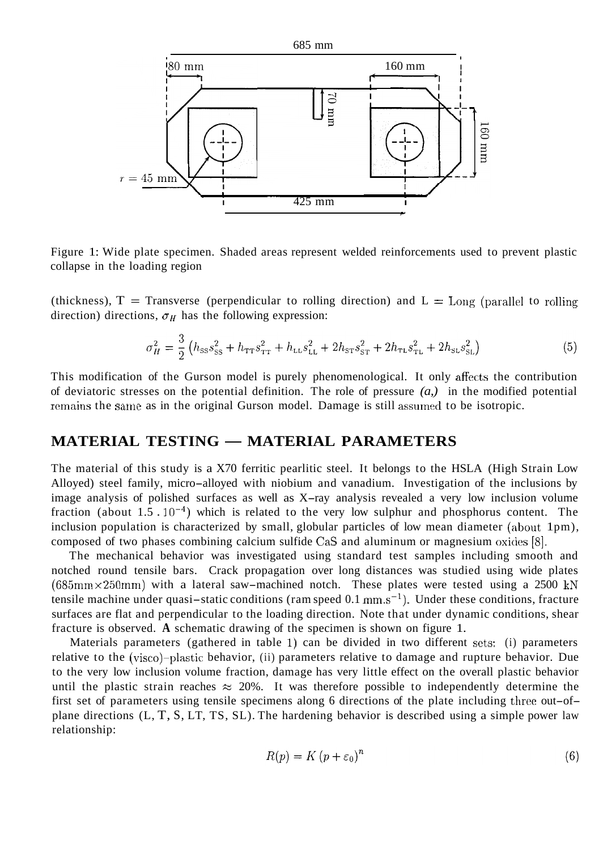

Figure 1: Wide plate specimen. Shaded areas represent welded reinforcements used to prevent plastic collapse in the loading region

(thickness),  $T =$  Transverse (perpendicular to rolling direction) and  $L =$  Long (parallel to rolling direction) directions,  $\sigma_H$  has the following expression:

$$
\sigma_H^2 = \frac{3}{2} \left( h_{\rm ss} s_{\rm ss}^2 + h_{\rm TT} s_{\rm TT}^2 + h_{\rm LL} s_{\rm LL}^2 + 2 h_{\rm ST} s_{\rm ST}^2 + 2 h_{\rm TL} s_{\rm TL}^2 + 2 h_{\rm SL} s_{\rm SL}^2 \right) \tag{5}
$$

This modification of the Gurson model is purely phenomenological. It only affects the contribution of deviatoric stresses on the potential definition. The role of pressure *(a,)* in the modified potential remains the same as in the original Gurson model. Damage is still assumed to be isotropic.

### **MATERIAL TESTING — MATERIAL PARAMETERS**

The material of this study is a X70 ferritic pearlitic steel. It belongs to the HSLA (High Strain Low Alloyed) steel family, micro-alloyed with niobium and vanadium. Investigation of the inclusions by image analysis of polished surfaces as well as X-ray analysis revealed a very low inclusion volume fraction (about 1.5  $\cdot$  10<sup>-4</sup>) which is related to the very low sulphur and phosphorus content. The inclusion population is characterized by small, globular particles of low mean diameter (about 1pm), composed of two phases combining calcium sulfide Cas and aluminum or magnesium oxides [8].

The mechanical behavior was investigated using standard test samples including smooth and notched round tensile bars. Crack propagation over long distances was studied using wide plates  $(685 \text{mm} \times 250 \text{mm})$  with a lateral saw-machined notch. These plates were tested using a 2500 kN tensile machine under quasi-static conditions (ram speed  $0.1 \text{ mm} \cdot \text{s}^{-1}$ ). Under these conditions, fracture surfaces are flat and perpendicular to the loading direction. Note that under dynamic conditions, shear fracture is observed. **A** schematic drawing of the specimen is shown on figure 1.

Materials parameters (gathered in table 1) can be divided in two different sets: (i) parameters relative to the (visco)-plastic behavior, (ii) parameters relative to damage and rupture behavior. Due to the very low inclusion volume fraction, damage has very little effect on the overall plastic behavior until the plastic strain reaches  $\approx$  20%. It was therefore possible to independently determine the first set of parameters using tensile specimens along 6 directions of the plate including three out-ofplane directions (L, T, S, LT, TS, SL). The hardening behavior is described using a simple power law relationship:

$$
R(p) = K (p + \varepsilon_0)^n \tag{6}
$$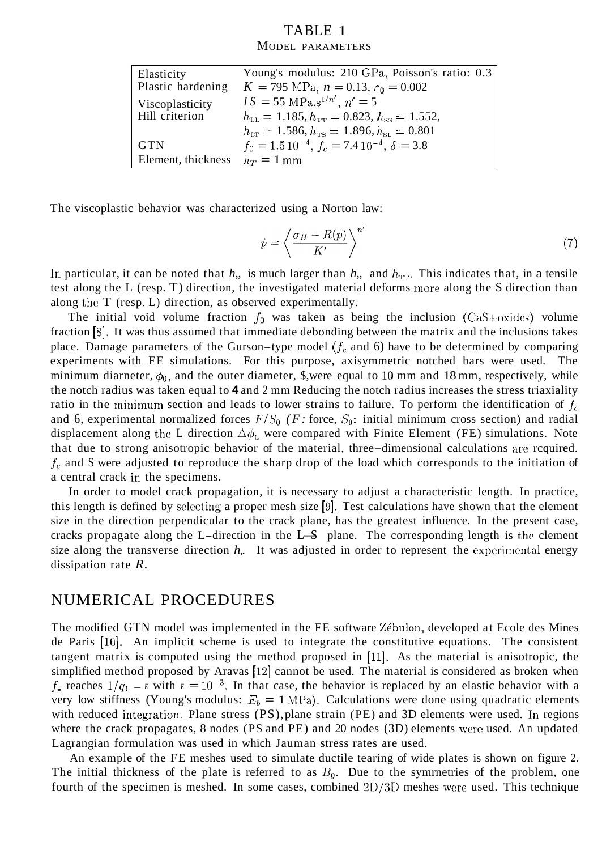#### TABLE 1 MODEL PARAMETERS

| Elasticity                      | Young's modulus: 210 GPa, Poisson's ratio: 0.3                         |
|---------------------------------|------------------------------------------------------------------------|
| Plastic hardening               | $K = 795$ MPa, $n = 0.13$ , $\varepsilon_0 = 0.002$                    |
| Viscoplasticity                 | $IS = 55 \text{ MPa.s}^{1/n'}$ , $n' = 5$                              |
| Hill criterion                  | $h_{\text{LL}} = 1.185, h_{\text{TT}} = 0.823, h_{\text{ss}} = 1.552,$ |
|                                 | $h_{\text{LT}} = 1.586, h_{\text{TS}} = 1.896, h_{\text{SL}} = 0.801$  |
| <b>GTN</b>                      | $f_0 = 1.5 10^{-4}$ , $f_c = 7.4 10^{-4}$ , $\delta = 3.8$             |
| Element, thickness $h_T = 1$ mm |                                                                        |

The viscoplastic behavior was characterized using a Norton law:

$$
\dot{p} = \left\langle \frac{\sigma_H - R(p)}{K'} \right\rangle^{n'} \tag{7}
$$

In particular, it can be noted that *h*,, is much larger than *h*,, and  $h_{TT}$ . This indicates that, in a tensile test along the L (resp. T) direction, the investigated material deforms more along the S direction than along thc T (resp. L) direction, as observed experimentally.

The initial void volume fraction  $f_0$  was taken as being the inclusion (CaS+oxides) volume fraction [8]. It was thus assumed that immediate debonding between the matrix and the inclusions takes place. Damage parameters of the Gurson-type model  $(f_c \text{ and } 6)$  have to be determined by comparing experiments with FE simulations. For this purpose, axisymmetric notched bars were used. The minimum diarneter,  $\phi_0$ , and the outer diameter, \$,were equal to 10 mm and 18 mm, respectively, while the notch radius was taken equal to **4** and 2 mm Reducing the notch radius increases the stress triaxiality ratio in the minimum section and leads to lower strains to failure. To perform the identification of *fc*  and 6, experimental normalized forces  $F/S_0$  (F: force,  $S_0$ : initial minimum cross section) and radial displacement along the L direction  $\Delta\phi_L$  were compared with Finite Element (FE) simulations. Note that due to strong anisotropic behavior of the material, three-dimensional calculations are rcquired. *fc* and S were adjusted to reproduce the sharp drop of the load which corresponds to the initiation of a central crack in the specimens.

In order to model crack propagation, it is necessary to adjust a characteristic length. In practice, this length is defined by sclecting a proper mesh size [g]. Test calculations have shown that the element size in the direction perpendicular to the crack plane, has the greatest influence. In the present case, this length is defined by selecting a proper mesh size  $[9]$ . Test calculations have shown that the element size in the direction perpendicular to the crack plane, has the greatest influence. In the present case, cracks p size along the transverse direction  $h$ . It was adjusted in order to represent the experimental energy dissipation rate *R.* 

# NUMERICAL PROCEDURES

The modified GTN model was implemented in the FE software Zébulon, developed at Ecole des Mines de Paris [lo]. An implicit scheme is used to integrate the constitutive equations. The consistent tangent matrix is computed using the method proposed in [ll]. As the material is anisotropic, the simplified method proposed by Aravas  $[12]$  cannot be used. The material is considered as broken when  $f_{\star}$  reaches  $1/q_1 - E$  with  $E = 10^{-3}$ . In that case, the behavior is replaced by an elastic behavior with a very low stiffness (Young's modulus:  $E_b = 1 \text{ MPa}$ ). Calculations were done using quadratic elements with reduced integration. Plane stress  $(PS)$ , plane strain  $(PE)$  and 3D elements were used. In regions where the crack propagates, 8 nodes (PS and PE) and 20 nodes (3D) elements were used. An updated Lagrangian formulation was used in which Jauman stress rates are used.

An example of the FE meshes used to simulate ductile tearing of wide plates is shown on figure 2. The initial thickness of the plate is referred to as  $B_0$ . Due to the symmetries of the problem, one fourth of the specimen is meshed. In some cases, combined 2D/3D meshes wcre used. This technique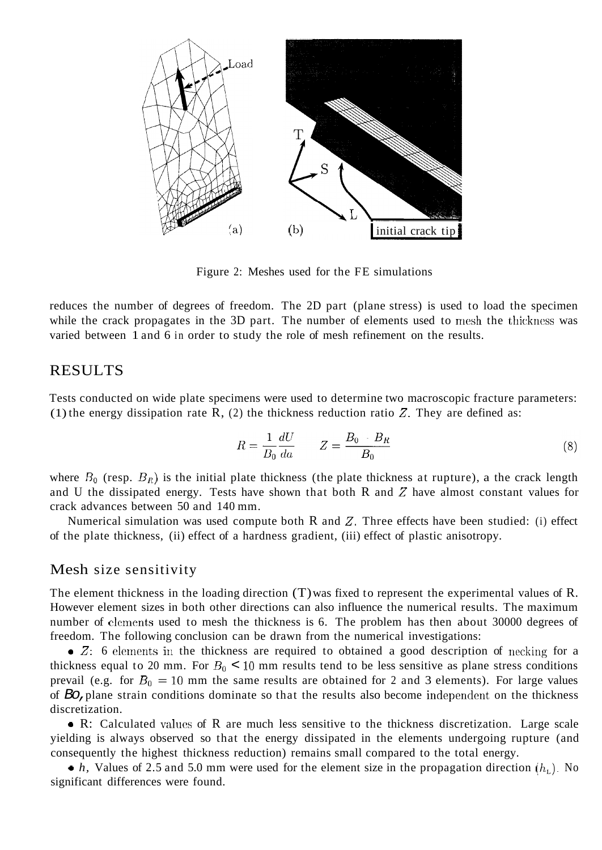

Figure 2: Meshes used for the FE simulations

reduces the number of degrees of freedom. The 2D part (plane stress) is used to load the specimen while the crack propagates in the 3D part. The number of elements used to mesh the thickness was varied between 1 and 6 in order to study the role of mesh refinement on the results.

# RESULTS

Tests conducted on wide plate specimens were used to determine two macroscopic fracture parameters: (1) the energy dissipation rate  $R$ , (2) the thickness reduction ratio  $Z$ . They are defined as:

$$
R = \frac{1}{B_0} \frac{dU}{da} \qquad Z = \frac{B_0 - B_R}{B_0} \tag{8}
$$

where  $B_0$  (resp.  $B_R$ ) is the initial plate thickness (the plate thickness at rupture), a the crack length and U the dissipated energy. Tests have shown that both R and *2* have almost constant values for crack advances between 50 and 140 mm.

Numerical simulation was used compute both R and *2.* Three effects have been studied: (i) effect of the plate thickness, (ii) effect of a hardness gradient, (iii) effect of plastic anisotropy.

#### Mesh size sensitivity

The element thickness in the loading direction (T) was fixed to represent the experimental values of R. However element sizes in both other directions can also influence the numerical results. The maximum number of elements used to mesh the thickness is 6. The problem has then about 30000 degrees of freedom. The following conclusion can be drawn from the numerical investigations:

• Z: 6 elements in the thickness are required to obtained a good description of necking for a thickness equal to 20 mm. For  $B_0 < 10$  mm results tend to be less sensitive as plane stress conditions prevail (e.g. for  $B_0 = 10$  mm the same results are obtained for 2 and 3 elements). For large values of *Bo,* plane strain conditions dominate so that the results also become independent on the thickness discretization.

*<sup>0</sup>*R: Calculated valucs of R are much less sensitive to the thickness discretization. Large scale yielding is always observed so that the energy dissipated in the elements undergoing rupture (and consequently the highest thickness reduction) remains small compared to the total energy.

 $\bullet$  *h*, Values of 2.5 and 5.0 mm were used for the element size in the propagation direction  $(h<sub>L</sub>)$ . No significant differences were found.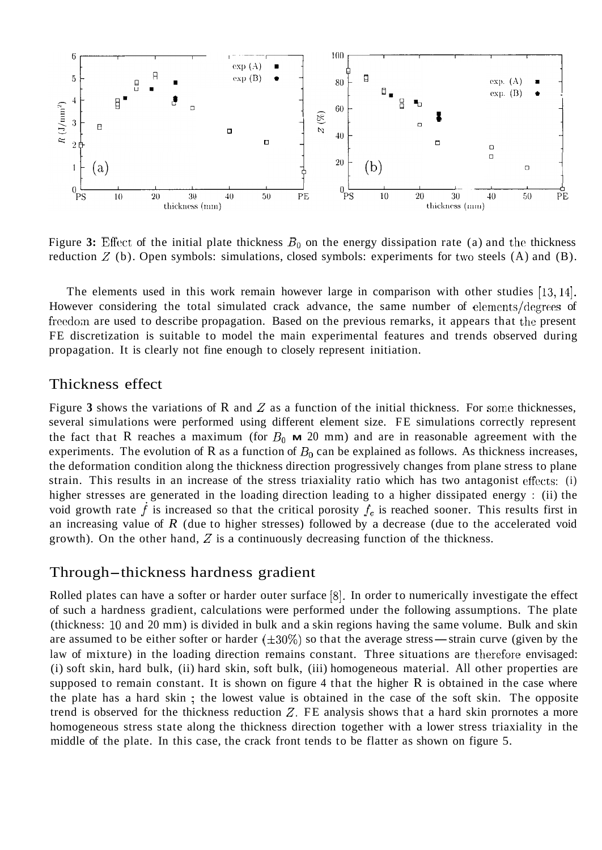

Figure 3: Effect of the initial plate thickness  $B_0$  on the energy dissipation rate (a) and the thickness reduction *Z* (b). Open symbols: simulations, closed symbols: experiments for two steels (A) and (B).

The elements used in this work remain however large in comparison with other studies [13, 14]. However considering the total simulated crack advance, the same number of elements/degrees of freedom are used to describe propagation. Based on the previous remarks, it appears that the present FE discretization is suitable to model the main experimental features and trends observed during propagation. It is clearly not fine enough to closely represent initiation.

# Thickness effect

Figure **3** shows the variations of R and *2* as a function of the initial thickness. For some thicknesses, several simulations were performed using different element size. FE simulations correctly represent the fact that R reaches a maximum (for  $B_0$  **M** 20 mm) and are in reasonable agreement with the experiments. The evolution of R as a function of  $B_0$  can be explained as follows. As thickness increases, the deformation condition along the thickness direction progressively changes from plane stress to plane strain. This results in an increase of the stress triaxiality ratio which has two antagonist effects: (i) higher stresses are generated in the loading direction leading to a higher dissipated energy : (ii) the void growth rate  $f$  is increased so that the critical porosity  $f_c$  is reached sooner. This results first in an increasing value of *R* (due to higher stresses) followed by a decrease (due to the accelerated void growth). On the other hand, *2* is a continuously decreasing function of the thickness.

### Through-thickness hardness gradient

Rolled plates can have a softer or harder outer surface [8]. In order to numerically investigate the effect of such a hardness gradient, calculations were performed under the following assumptions. The plate (thickness: 10 and 20 mm) is divided in bulk and a skin regions having the same volume. Bulk and skin are assumed to be either softer or harder  $(\pm 30\%)$  so that the average stress—strain curve (given by the law of mixture) in the loading direction remains constant. Three situations are therefore envisaged: (i) soft skin, hard bulk, (ii) hard skin, soft bulk, (iii) homogeneous material. All other properties are supposed to remain constant. It is shown on figure 4 that the higher R is obtained in the case where the plate has a hard skin ; the lowest value is obtained in the case of the soft skin. The opposite trend is observed for the thickness reduction *2.* FE analysis shows that a hard skin prornotes a more homogeneous stress state along the thickness direction together with a lower stress triaxiality in the middle of the plate. In this case, the crack front tends to be flatter as shown on figure 5.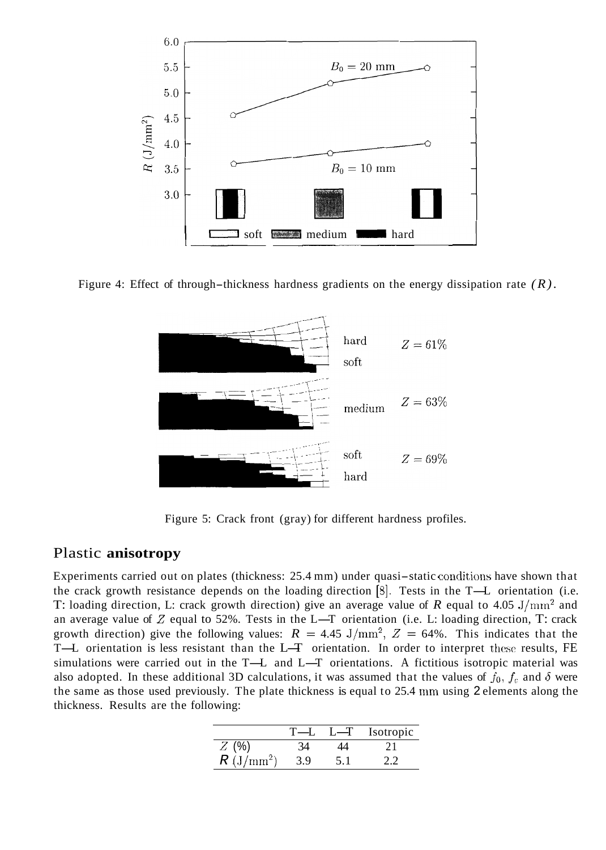





Figure 5: Crack front (gray) for different hardness profiles.

### Plastic **anisotropy**

Experiments carried out on plates (thickness:  $25.4 \text{ mm}$ ) under quasi-static conditions have shown that the crack growth resistance depends on the loading direction  $[8]$ . Tests in the T-L orientation (i.e. T: loading direction, L: crack growth direction) give an average value of  $R$  equal to 4.05 J/mm<sup>2</sup> and the crack growth resistance depends on the loading direction [8]. Tests in the T--L orientation (i.e. T: loading direction, L: crack growth direction) give an average value of *R* equal to 4.05 J/mm<sup>2</sup> and an average valu growth direction) give the following values:  $R = 4.45 \text{ J/mm}^2$ ,  $Z = 64\%$ . This indicates that the an average value of Z equal to 52%. Tests in the L-T orientation (i.e. L: loading direction, T: crack<br>growth direction) give the following values:  $R = 4.45 \text{ J/mm}^2$ ,  $Z = 64\%$ . This indicates that the<br>T-L orientation is l T-L orientation is less resistant than the L-T orientation. In order to interpret these results, FE simulations were carried out in the T-L and L-T orientations. A fictitious isotropic material was also adopted. In these additional 3D calculations, it was assumed that the values of  $f_0$ ,  $f_c$  and  $\delta$  were the same as those used previously. The plate thickness is equal to 25.4 mm using 2 elements along the thickness. Results are the following:

| wing:        |       |         |           |
|--------------|-------|---------|-----------|
|              | $T-1$ | $L - T$ | Isotropic |
| $Z(\%)$      | 34    | 14      | 21        |
| $R (J/mm^2)$ | 3.9   | 5.1     | 22        |